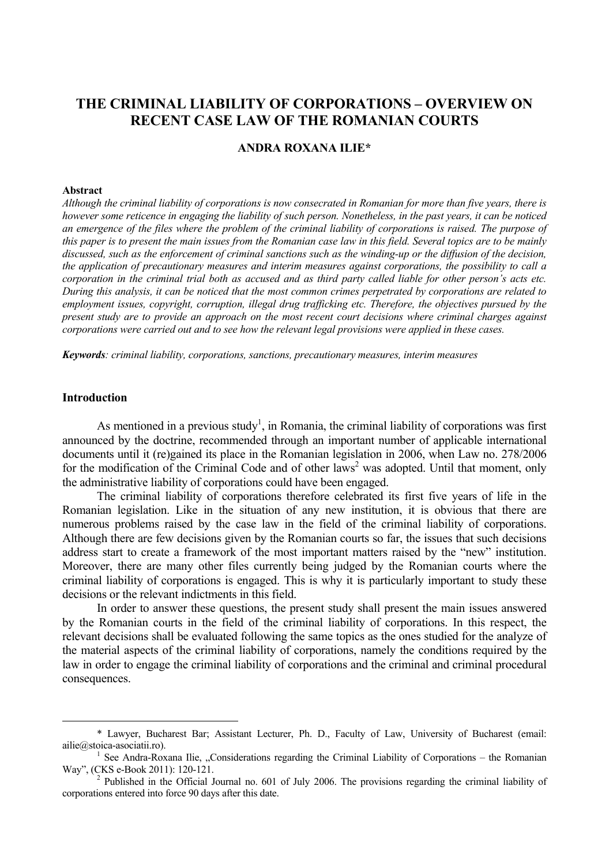# **THE CRIMINAL LIABILITY OF CORPORATIONS – OVERVIEW ON RECENT CASE LAW OF THE ROMANIAN COURTS**

### **ANDRA ROXANA ILIE\***

#### **Abstract**

*Although the criminal liability of corporations is now consecrated in Romanian for more than five years, there is however some reticence in engaging the liability of such person. Nonetheless, in the past years, it can be noticed an emergence of the files where the problem of the criminal liability of corporations is raised. The purpose of this paper is to present the main issues from the Romanian case law in this field. Several topics are to be mainly discussed, such as the enforcement of criminal sanctions such as the winding-up or the diffusion of the decision, the application of precautionary measures and interim measures against corporations, the possibility to call a corporation in the criminal trial both as accused and as third party called liable for other person's acts etc. During this analysis, it can be noticed that the most common crimes perpetrated by corporations are related to employment issues, copyright, corruption, illegal drug trafficking etc. Therefore, the objectives pursued by the present study are to provide an approach on the most recent court decisions where criminal charges against corporations were carried out and to see how the relevant legal provisions were applied in these cases.* 

*Keywords: criminal liability, corporations, sanctions, precautionary measures, interim measures* 

### **Introduction**

As mentioned in a previous study<sup>1</sup>, in Romania, the criminal liability of corporations was first announced by the doctrine, recommended through an important number of applicable international documents until it (re)gained its place in the Romanian legislation in 2006, when Law no. 278/2006 for the modification of the Criminal Code and of other laws<sup>2</sup> was adopted. Until that moment, only the administrative liability of corporations could have been engaged.

The criminal liability of corporations therefore celebrated its first five years of life in the Romanian legislation. Like in the situation of any new institution, it is obvious that there are numerous problems raised by the case law in the field of the criminal liability of corporations. Although there are few decisions given by the Romanian courts so far, the issues that such decisions address start to create a framework of the most important matters raised by the "new" institution. Moreover, there are many other files currently being judged by the Romanian courts where the criminal liability of corporations is engaged. This is why it is particularly important to study these decisions or the relevant indictments in this field.

In order to answer these questions, the present study shall present the main issues answered by the Romanian courts in the field of the criminal liability of corporations. In this respect, the relevant decisions shall be evaluated following the same topics as the ones studied for the analyze of the material aspects of the criminal liability of corporations, namely the conditions required by the law in order to engage the criminal liability of corporations and the criminal and criminal procedural consequences.

 <sup>\*</sup> Lawyer, Bucharest Bar; Assistant Lecturer, Ph. D., Faculty of Law, University of Bucharest (email: ailie@stoica-asociatii.ro). 1

<sup>&</sup>lt;sup>1</sup> See Andra-Roxana Ilie, "Considerations regarding the Criminal Liability of Corporations – the Romanian Way", (CKS e-Book 2011): 120-121.

Published in the Official Journal no. 601 of July 2006. The provisions regarding the criminal liability of corporations entered into force 90 days after this date.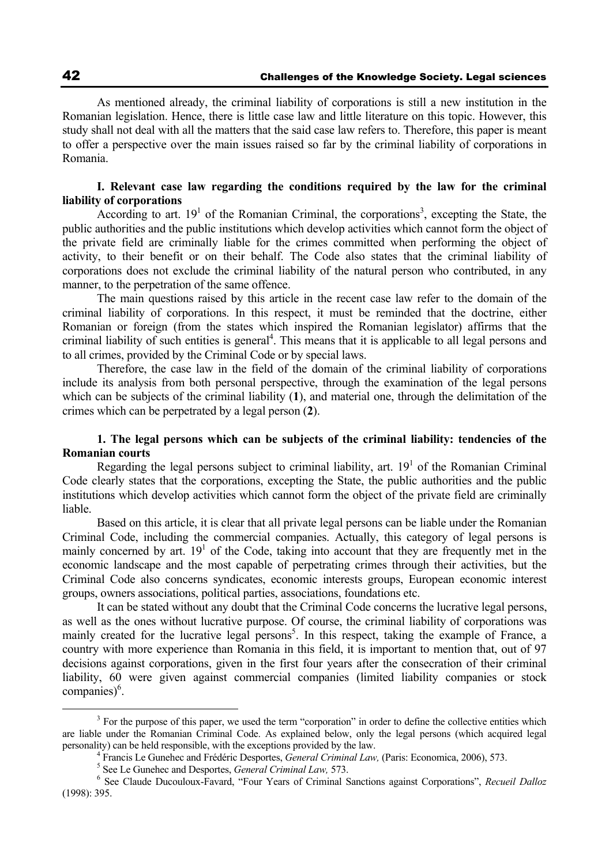As mentioned already, the criminal liability of corporations is still a new institution in the Romanian legislation. Hence, there is little case law and little literature on this topic. However, this study shall not deal with all the matters that the said case law refers to. Therefore, this paper is meant to offer a perspective over the main issues raised so far by the criminal liability of corporations in Romania.

## **I. Relevant case law regarding the conditions required by the law for the criminal liability of corporations**

According to art.  $19<sup>1</sup>$  of the Romanian Criminal, the corporations<sup>3</sup>, excepting the State, the public authorities and the public institutions which develop activities which cannot form the object of the private field are criminally liable for the crimes committed when performing the object of activity, to their benefit or on their behalf. The Code also states that the criminal liability of corporations does not exclude the criminal liability of the natural person who contributed, in any manner, to the perpetration of the same offence.

The main questions raised by this article in the recent case law refer to the domain of the criminal liability of corporations. In this respect, it must be reminded that the doctrine, either Romanian or foreign (from the states which inspired the Romanian legislator) affirms that the criminal liability of such entities is general<sup>4</sup>. This means that it is applicable to all legal persons and to all crimes, provided by the Criminal Code or by special laws.

Therefore, the case law in the field of the domain of the criminal liability of corporations include its analysis from both personal perspective, through the examination of the legal persons which can be subjects of the criminal liability (**1**), and material one, through the delimitation of the crimes which can be perpetrated by a legal person (**2**).

## **1. The legal persons which can be subjects of the criminal liability: tendencies of the Romanian courts**

Regarding the legal persons subject to criminal liability, art.  $19<sup>1</sup>$  of the Romanian Criminal Code clearly states that the corporations, excepting the State, the public authorities and the public institutions which develop activities which cannot form the object of the private field are criminally liable.

Based on this article, it is clear that all private legal persons can be liable under the Romanian Criminal Code, including the commercial companies. Actually, this category of legal persons is mainly concerned by art.  $19<sup>1</sup>$  of the Code, taking into account that they are frequently met in the economic landscape and the most capable of perpetrating crimes through their activities, but the Criminal Code also concerns syndicates, economic interests groups, European economic interest groups, owners associations, political parties, associations, foundations etc.

It can be stated without any doubt that the Criminal Code concerns the lucrative legal persons, as well as the ones without lucrative purpose. Of course, the criminal liability of corporations was mainly created for the lucrative legal persons<sup>5</sup>. In this respect, taking the example of France, a country with more experience than Romania in this field, it is important to mention that, out of 97 decisions against corporations, given in the first four years after the consecration of their criminal liability, 60 were given against commercial companies (limited liability companies or stock companies)<sup>6</sup>.

 $\frac{1}{3}$  $<sup>3</sup>$  For the purpose of this paper, we used the term "corporation" in order to define the collective entities which</sup> are liable under the Romanian Criminal Code. As explained below, only the legal persons (which acquired legal personality) can be held responsible, with the exceptions provided by the law. 4

<sup>&</sup>lt;sup>4</sup> Francis Le Gunehec and Frédéric Desportes, *General Criminal Law*, (Paris: Economica, 2006), 573.

<sup>&</sup>lt;sup>5</sup> See Le Gunehec and Desportes, *General Criminal Law,* 573.

<sup>&</sup>lt;sup>6</sup> See Claude Ducouloux-Favard, "Four Years of Criminal Sanctions against Corporations", *Recueil Dalloz* (1998): 395.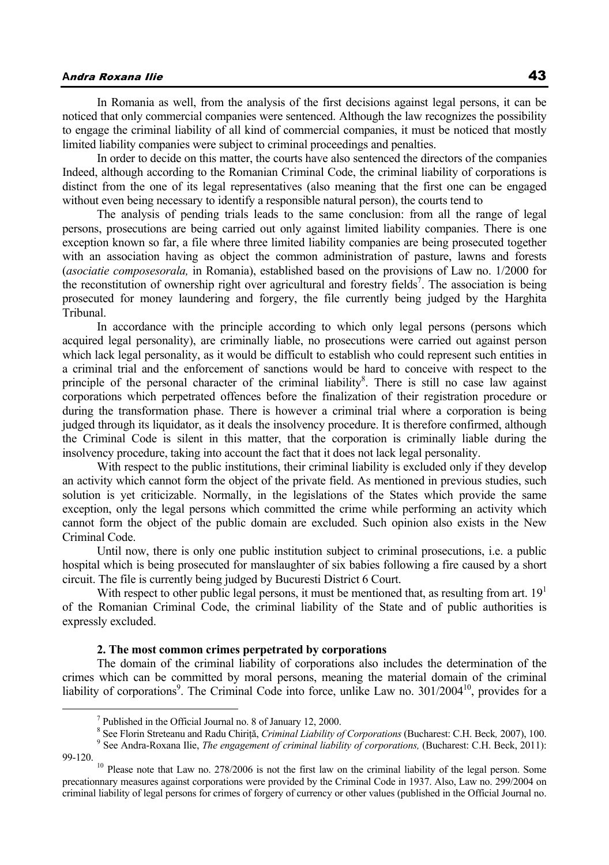## **A**ndra Roxana Ilie 43

In Romania as well, from the analysis of the first decisions against legal persons, it can be noticed that only commercial companies were sentenced. Although the law recognizes the possibility to engage the criminal liability of all kind of commercial companies, it must be noticed that mostly limited liability companies were subject to criminal proceedings and penalties.

In order to decide on this matter, the courts have also sentenced the directors of the companies Indeed, although according to the Romanian Criminal Code, the criminal liability of corporations is distinct from the one of its legal representatives (also meaning that the first one can be engaged without even being necessary to identify a responsible natural person), the courts tend to

The analysis of pending trials leads to the same conclusion: from all the range of legal persons, prosecutions are being carried out only against limited liability companies. There is one exception known so far, a file where three limited liability companies are being prosecuted together with an association having as object the common administration of pasture, lawns and forests (*asociatie composesorala,* in Romania), established based on the provisions of Law no. 1/2000 for the reconstitution of ownership right over agricultural and forestry fields<sup>7</sup>. The association is being prosecuted for money laundering and forgery, the file currently being judged by the Harghita Tribunal.

In accordance with the principle according to which only legal persons (persons which acquired legal personality), are criminally liable, no prosecutions were carried out against person which lack legal personality, as it would be difficult to establish who could represent such entities in a criminal trial and the enforcement of sanctions would be hard to conceive with respect to the principle of the personal character of the criminal liability<sup>8</sup>. There is still no case law against corporations which perpetrated offences before the finalization of their registration procedure or during the transformation phase. There is however a criminal trial where a corporation is being judged through its liquidator, as it deals the insolvency procedure. It is therefore confirmed, although the Criminal Code is silent in this matter, that the corporation is criminally liable during the insolvency procedure, taking into account the fact that it does not lack legal personality.

With respect to the public institutions, their criminal liability is excluded only if they develop an activity which cannot form the object of the private field. As mentioned in previous studies, such solution is yet criticizable. Normally, in the legislations of the States which provide the same exception, only the legal persons which committed the crime while performing an activity which cannot form the object of the public domain are excluded. Such opinion also exists in the New Criminal Code.

Until now, there is only one public institution subject to criminal prosecutions, i.e. a public hospital which is being prosecuted for manslaughter of six babies following a fire caused by a short circuit. The file is currently being judged by Bucuresti District 6 Court.

With respect to other public legal persons, it must be mentioned that, as resulting from art.  $19<sup>1</sup>$ of the Romanian Criminal Code, the criminal liability of the State and of public authorities is expressly excluded.

### **2. The most common crimes perpetrated by corporations**

The domain of the criminal liability of corporations also includes the determination of the crimes which can be committed by moral persons, meaning the material domain of the criminal liability of corporations<sup>9</sup>. The Criminal Code into force, unlike Law no. 301/2004<sup>10</sup>, provides for a

 $\overline{\phantom{a}}$  $^7$  Published in the Official Journal no. 8 of January 12, 2000.

<sup>&</sup>lt;sup>8</sup> See Florin Streteanu and Radu Chiriță, *Criminal Liability of Corporations* (Bucharest: C.H. Beck, 2007), 100.

<sup>&</sup>lt;sup>9</sup> See Andra-Roxana Ilie, *The engagement of criminal liability of corporations*, (Bucharest: C.H. Beck, 2011):

<sup>99-120.&</sup>lt;br><sup>10</sup> Please note that Law no. 278/2006 is not the first law on the criminal liability of the legal person. Some precationnary measures against corporations were provided by the Criminal Code in 1937. Also, Law no. 299/2004 on criminal liability of legal persons for crimes of forgery of currency or other values (published in the Official Journal no.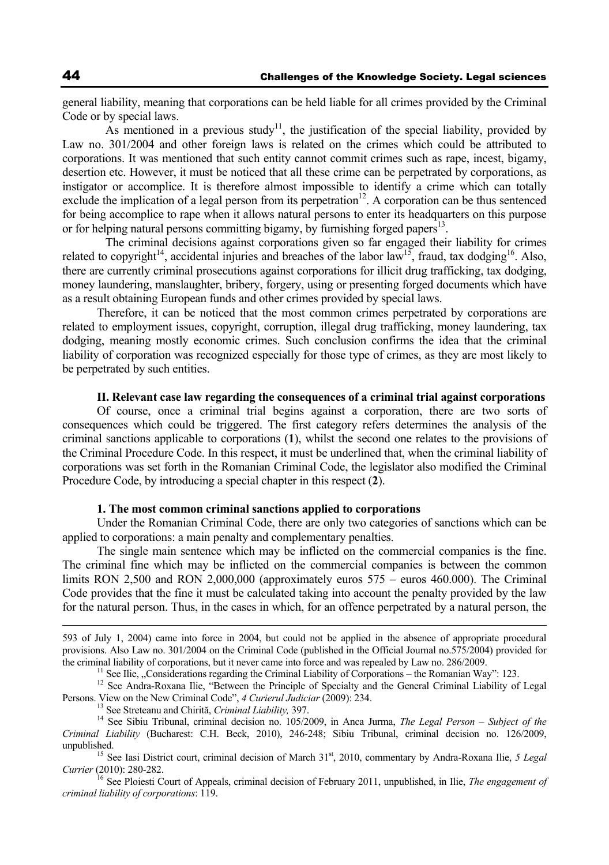general liability, meaning that corporations can be held liable for all crimes provided by the Criminal Code or by special laws.

As mentioned in a previous study<sup>11</sup>, the justification of the special liability, provided by Law no. 301/2004 and other foreign laws is related on the crimes which could be attributed to corporations. It was mentioned that such entity cannot commit crimes such as rape, incest, bigamy, desertion etc. However, it must be noticed that all these crime can be perpetrated by corporations, as instigator or accomplice. It is therefore almost impossible to identify a crime which can totally exclude the implication of a legal person from its perpetration $12$ . A corporation can be thus sentenced for being accomplice to rape when it allows natural persons to enter its headquarters on this purpose or for helping natural persons committing bigamy, by furnishing forged papers<sup>13</sup>.

 The criminal decisions against corporations given so far engaged their liability for crimes related to copyright<sup>14</sup>, accidental injuries and breaches of the labor law<sup>15</sup>, fraud, tax dodging<sup>16</sup>. Also, there are currently criminal prosecutions against corporations for illicit drug trafficking, tax dodging, money laundering, manslaughter, bribery, forgery, using or presenting forged documents which have as a result obtaining European funds and other crimes provided by special laws.

Therefore, it can be noticed that the most common crimes perpetrated by corporations are related to employment issues, copyright, corruption, illegal drug trafficking, money laundering, tax dodging, meaning mostly economic crimes. Such conclusion confirms the idea that the criminal liability of corporation was recognized especially for those type of crimes, as they are most likely to be perpetrated by such entities.

### **II. Relevant case law regarding the consequences of a criminal trial against corporations**

Of course, once a criminal trial begins against a corporation, there are two sorts of consequences which could be triggered. The first category refers determines the analysis of the criminal sanctions applicable to corporations (**1**), whilst the second one relates to the provisions of the Criminal Procedure Code. In this respect, it must be underlined that, when the criminal liability of corporations was set forth in the Romanian Criminal Code, the legislator also modified the Criminal Procedure Code, by introducing a special chapter in this respect (**2**).

#### **1. The most common criminal sanctions applied to corporations**

Under the Romanian Criminal Code, there are only two categories of sanctions which can be applied to corporations: a main penalty and complementary penalties.

The single main sentence which may be inflicted on the commercial companies is the fine. The criminal fine which may be inflicted on the commercial companies is between the common limits RON 2,500 and RON 2,000,000 (approximately euros 575 – euros 460.000). The Criminal Code provides that the fine it must be calculated taking into account the penalty provided by the law for the natural person. Thus, in the cases in which, for an offence perpetrated by a natural person, the

<sup>11</sup> See Ilie, "Considerations regarding the Criminal Liability of Corporations – the Romanian Way": 123.<br><sup>12</sup> See Andra-Roxana Ilie, "Between the Principle of Specialty and the General Criminal Liability of Legal Persons

*Currier* (2010): 280-282.

<sup>16</sup> See Ploiesti Court of Appeals, criminal decision of February 2011, unpublished, in Ilie, *The engagement of criminal liability of corporations*: 119.

 <sup>593</sup> of July 1, 2004) came into force in 2004, but could not be applied in the absence of appropriate procedural provisions. Also Law no. 301/2004 on the Criminal Code (published in the Official Journal no.575/2004) provided for the criminal liability of corporations, but it never came into force and was repealed by Law no. 286/2009.

<sup>&</sup>lt;sup>13</sup> See Streteanu and Chirită, Criminal Liability, 397.<br><sup>14</sup> See Sibiu Tribunal, criminal decision no. 105/2009, in Anca Jurma, *The Legal Person – Subject of the Criminal Liability* (Bucharest: C.H. Beck, 2010), 246-248; Sibiu Tribunal, criminal decision no. 126/2009, unpublished.<br><sup>15</sup> See Iasi District court, criminal decision of March 31<sup>st</sup>, 2010, commentary by Andra-Roxana Ilie, *5 Legal*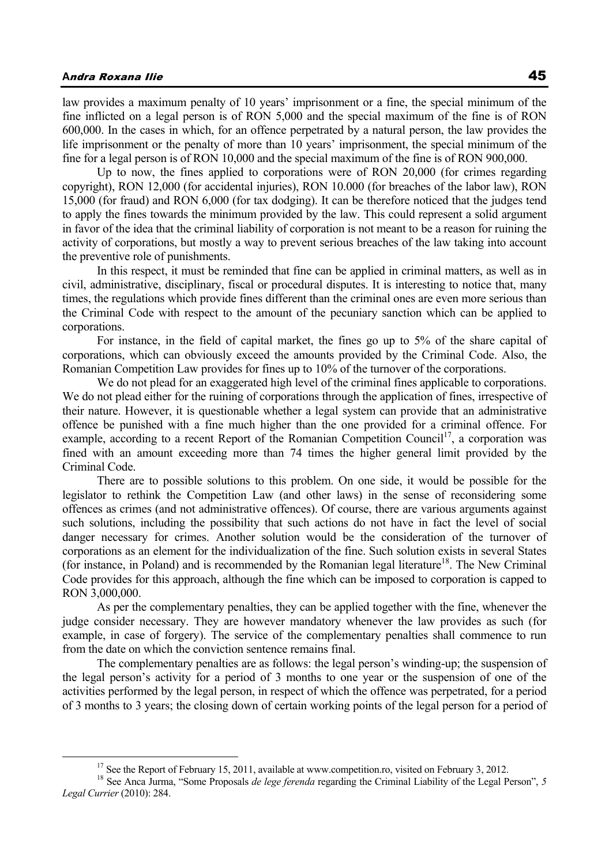## **A**ndra Roxana Ilie 45

law provides a maximum penalty of 10 years' imprisonment or a fine, the special minimum of the fine inflicted on a legal person is of RON 5,000 and the special maximum of the fine is of RON 600,000. In the cases in which, for an offence perpetrated by a natural person, the law provides the life imprisonment or the penalty of more than 10 years' imprisonment, the special minimum of the fine for a legal person is of RON 10,000 and the special maximum of the fine is of RON 900,000.

Up to now, the fines applied to corporations were of RON 20,000 (for crimes regarding copyright), RON 12,000 (for accidental injuries), RON 10.000 (for breaches of the labor law), RON 15,000 (for fraud) and RON 6,000 (for tax dodging). It can be therefore noticed that the judges tend to apply the fines towards the minimum provided by the law. This could represent a solid argument in favor of the idea that the criminal liability of corporation is not meant to be a reason for ruining the activity of corporations, but mostly a way to prevent serious breaches of the law taking into account the preventive role of punishments.

In this respect, it must be reminded that fine can be applied in criminal matters, as well as in civil, administrative, disciplinary, fiscal or procedural disputes. It is interesting to notice that, many times, the regulations which provide fines different than the criminal ones are even more serious than the Criminal Code with respect to the amount of the pecuniary sanction which can be applied to corporations.

For instance, in the field of capital market, the fines go up to 5% of the share capital of corporations, which can obviously exceed the amounts provided by the Criminal Code. Also, the Romanian Competition Law provides for fines up to 10% of the turnover of the corporations.

We do not plead for an exaggerated high level of the criminal fines applicable to corporations. We do not plead either for the ruining of corporations through the application of fines, irrespective of their nature. However, it is questionable whether a legal system can provide that an administrative offence be punished with a fine much higher than the one provided for a criminal offence. For example, according to a recent Report of the Romanian Competition Council<sup>17</sup>, a corporation was fined with an amount exceeding more than 74 times the higher general limit provided by the Criminal Code.

There are to possible solutions to this problem. On one side, it would be possible for the legislator to rethink the Competition Law (and other laws) in the sense of reconsidering some offences as crimes (and not administrative offences). Of course, there are various arguments against such solutions, including the possibility that such actions do not have in fact the level of social danger necessary for crimes. Another solution would be the consideration of the turnover of corporations as an element for the individualization of the fine. Such solution exists in several States (for instance, in Poland) and is recommended by the Romanian legal literature<sup>18</sup>. The New Criminal Code provides for this approach, although the fine which can be imposed to corporation is capped to RON 3,000,000.

As per the complementary penalties, they can be applied together with the fine, whenever the judge consider necessary. They are however mandatory whenever the law provides as such (for example, in case of forgery). The service of the complementary penalties shall commence to run from the date on which the conviction sentence remains final.

The complementary penalties are as follows: the legal person's winding-up; the suspension of the legal person's activity for a period of 3 months to one year or the suspension of one of the activities performed by the legal person, in respect of which the offence was perpetrated, for a period of 3 months to 3 years; the closing down of certain working points of the legal person for a period of

<sup>&</sup>lt;sup>17</sup> See the Report of February 15, 2011, available at www.competition.ro, visited on February 3, 2012.<br><sup>18</sup> See Anca Jurma, "Some Proposals *de lege ferenda* regarding the Criminal Liability of the Legal Person", 5<sup>7</sup> *Legal Currier* (2010): 284.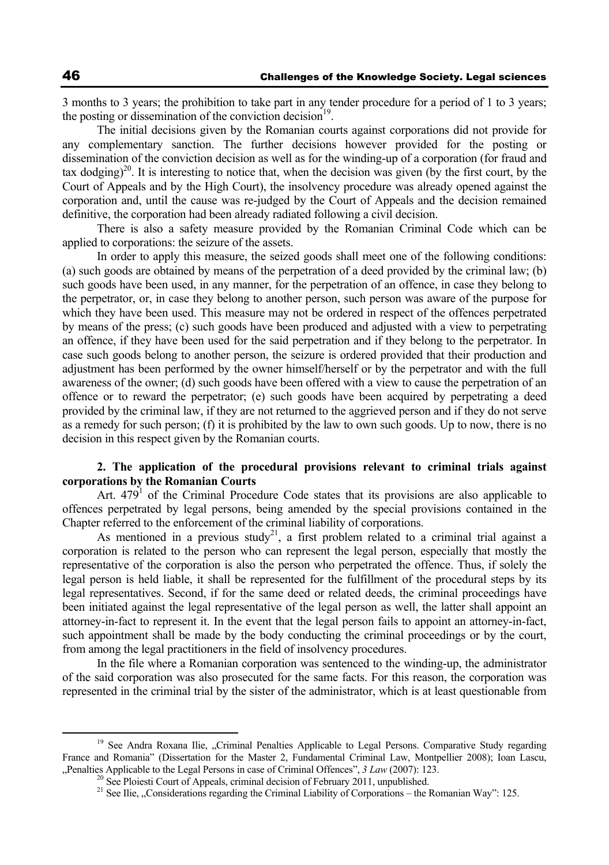3 months to 3 years; the prohibition to take part in any tender procedure for a period of 1 to 3 years; the posting or dissemination of the conviction decision $19$ .

The initial decisions given by the Romanian courts against corporations did not provide for any complementary sanction. The further decisions however provided for the posting or dissemination of the conviction decision as well as for the winding-up of a corporation (for fraud and tax dodging)<sup>20</sup>. It is interesting to notice that, when the decision was given (by the first court, by the Court of Appeals and by the High Court), the insolvency procedure was already opened against the corporation and, until the cause was re-judged by the Court of Appeals and the decision remained definitive, the corporation had been already radiated following a civil decision.

There is also a safety measure provided by the Romanian Criminal Code which can be applied to corporations: the seizure of the assets.

In order to apply this measure, the seized goods shall meet one of the following conditions: (a) such goods are obtained by means of the perpetration of a deed provided by the criminal law; (b) such goods have been used, in any manner, for the perpetration of an offence, in case they belong to the perpetrator, or, in case they belong to another person, such person was aware of the purpose for which they have been used. This measure may not be ordered in respect of the offences perpetrated by means of the press; (c) such goods have been produced and adjusted with a view to perpetrating an offence, if they have been used for the said perpetration and if they belong to the perpetrator. In case such goods belong to another person, the seizure is ordered provided that their production and adjustment has been performed by the owner himself/herself or by the perpetrator and with the full awareness of the owner; (d) such goods have been offered with a view to cause the perpetration of an offence or to reward the perpetrator; (e) such goods have been acquired by perpetrating a deed provided by the criminal law, if they are not returned to the aggrieved person and if they do not serve as a remedy for such person; (f) it is prohibited by the law to own such goods. Up to now, there is no decision in this respect given by the Romanian courts.

## **2. The application of the procedural provisions relevant to criminal trials against corporations by the Romanian Courts**

Art.  $479<sup>1</sup>$  of the Criminal Procedure Code states that its provisions are also applicable to offences perpetrated by legal persons, being amended by the special provisions contained in the Chapter referred to the enforcement of the criminal liability of corporations.

As mentioned in a previous study<sup>21</sup>, a first problem related to a criminal trial against a corporation is related to the person who can represent the legal person, especially that mostly the representative of the corporation is also the person who perpetrated the offence. Thus, if solely the legal person is held liable, it shall be represented for the fulfillment of the procedural steps by its legal representatives. Second, if for the same deed or related deeds, the criminal proceedings have been initiated against the legal representative of the legal person as well, the latter shall appoint an attorney-in-fact to represent it. In the event that the legal person fails to appoint an attorney-in-fact, such appointment shall be made by the body conducting the criminal proceedings or by the court, from among the legal practitioners in the field of insolvency procedures.

In the file where a Romanian corporation was sentenced to the winding-up, the administrator of the said corporation was also prosecuted for the same facts. For this reason, the corporation was represented in the criminal trial by the sister of the administrator, which is at least questionable from

<sup>&</sup>lt;sup>19</sup> See Andra Roxana Ilie, "Criminal Penalties Applicable to Legal Persons. Comparative Study regarding France and Romania" (Dissertation for the Master 2, Fundamental Criminal Law, Montpellier 2008); Ioan Lascu, "Penalties Applicable to the Legal Persons in case of Criminal Offences",  $3 Law$  (2007): 123.<br><sup>20</sup> See Ploiesti Court of Appeals, criminal decision of February 2011, unpublished.<br><sup>21</sup> See Ilie. "Considerations regarding the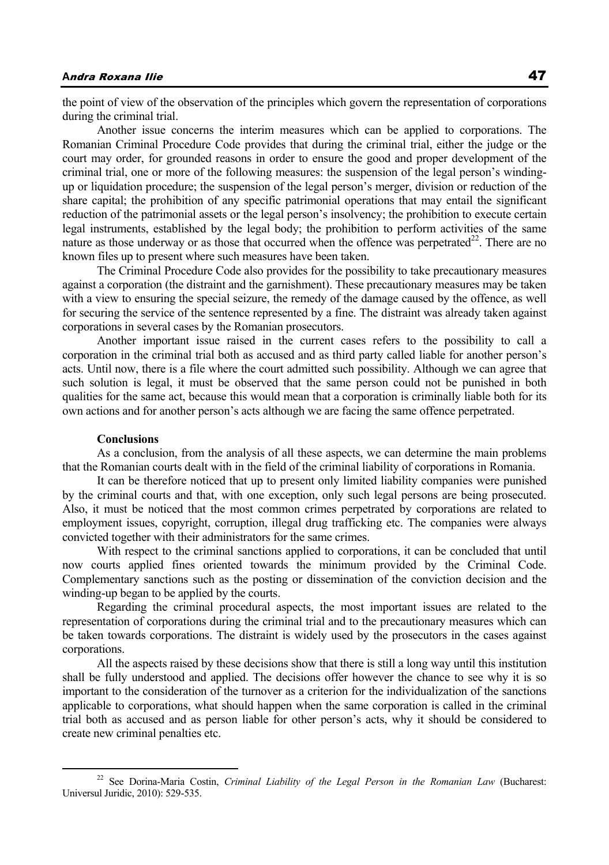## **A**ndra Roxana Ilie 47

the point of view of the observation of the principles which govern the representation of corporations during the criminal trial.

Another issue concerns the interim measures which can be applied to corporations. The Romanian Criminal Procedure Code provides that during the criminal trial, either the judge or the court may order, for grounded reasons in order to ensure the good and proper development of the criminal trial, one or more of the following measures: the suspension of the legal person's windingup or liquidation procedure; the suspension of the legal person's merger, division or reduction of the share capital; the prohibition of any specific patrimonial operations that may entail the significant reduction of the patrimonial assets or the legal person's insolvency; the prohibition to execute certain legal instruments, established by the legal body; the prohibition to perform activities of the same nature as those underway or as those that occurred when the offence was perpetrated $22$ . There are no known files up to present where such measures have been taken.

The Criminal Procedure Code also provides for the possibility to take precautionary measures against a corporation (the distraint and the garnishment). These precautionary measures may be taken with a view to ensuring the special seizure, the remedy of the damage caused by the offence, as well for securing the service of the sentence represented by a fine. The distraint was already taken against corporations in several cases by the Romanian prosecutors.

Another important issue raised in the current cases refers to the possibility to call a corporation in the criminal trial both as accused and as third party called liable for another person's acts. Until now, there is a file where the court admitted such possibility. Although we can agree that such solution is legal, it must be observed that the same person could not be punished in both qualities for the same act, because this would mean that a corporation is criminally liable both for its own actions and for another person's acts although we are facing the same offence perpetrated.

### **Conclusions**

As a conclusion, from the analysis of all these aspects, we can determine the main problems that the Romanian courts dealt with in the field of the criminal liability of corporations in Romania.

It can be therefore noticed that up to present only limited liability companies were punished by the criminal courts and that, with one exception, only such legal persons are being prosecuted. Also, it must be noticed that the most common crimes perpetrated by corporations are related to employment issues, copyright, corruption, illegal drug trafficking etc. The companies were always convicted together with their administrators for the same crimes.

With respect to the criminal sanctions applied to corporations, it can be concluded that until now courts applied fines oriented towards the minimum provided by the Criminal Code. Complementary sanctions such as the posting or dissemination of the conviction decision and the winding-up began to be applied by the courts.

Regarding the criminal procedural aspects, the most important issues are related to the representation of corporations during the criminal trial and to the precautionary measures which can be taken towards corporations. The distraint is widely used by the prosecutors in the cases against corporations.

All the aspects raised by these decisions show that there is still a long way until this institution shall be fully understood and applied. The decisions offer however the chance to see why it is so important to the consideration of the turnover as a criterion for the individualization of the sanctions applicable to corporations, what should happen when the same corporation is called in the criminal trial both as accused and as person liable for other person's acts, why it should be considered to create new criminal penalties etc.

<sup>&</sup>lt;sup>22</sup> See Dorina-Maria Costin, *Criminal Liability of the Legal Person in the Romanian Law* (Bucharest: Universul Juridic, 2010): 529-535.